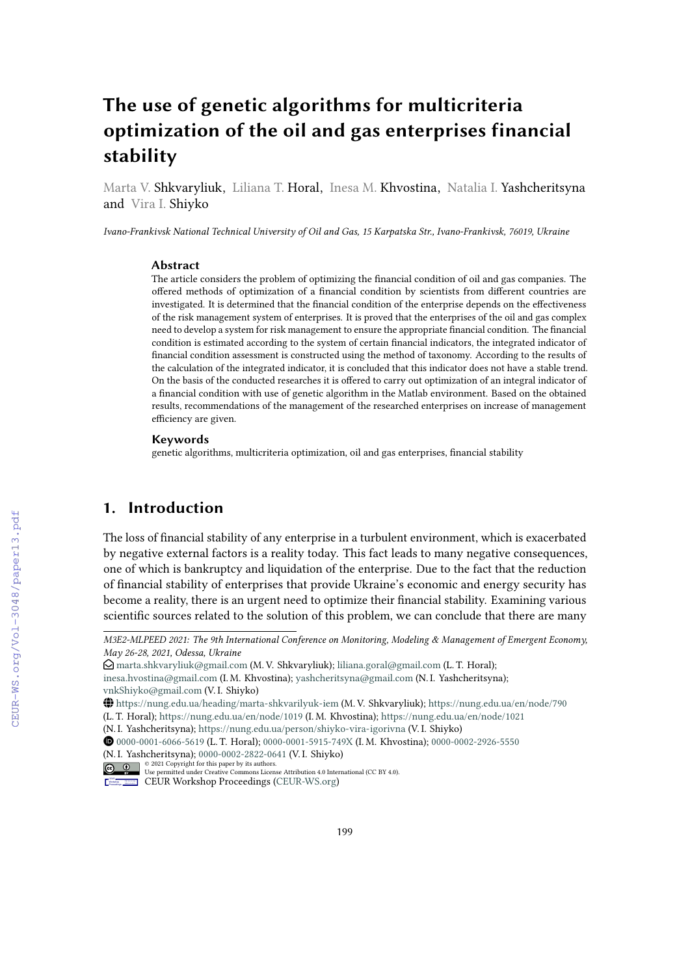# **The use of genetic algorithms for multicriteria optimization of the oil and gas enterprises financial stability**

Marta V. Shkvaryliuk, Liliana T. Horal, Inesa M. Khvostina, Natalia I. Yashcheritsyna and Vira I. Shiyko

*Ivano-Frankivsk National Technical University of Oil and Gas, 15 Karpatska Str., Ivano-Frankivsk, 76019, Ukraine*

#### **Abstract**

The article considers the problem of optimizing the financial condition of oil and gas companies. The offered methods of optimization of a financial condition by scientists from different countries are investigated. It is determined that the financial condition of the enterprise depends on the effectiveness of the risk management system of enterprises. It is proved that the enterprises of the oil and gas complex need to develop a system for risk management to ensure the appropriate financial condition. The financial condition is estimated according to the system of certain financial indicators, the integrated indicator of financial condition assessment is constructed using the method of taxonomy. According to the results of the calculation of the integrated indicator, it is concluded that this indicator does not have a stable trend. On the basis of the conducted researches it is offered to carry out optimization of an integral indicator of a financial condition with use of genetic algorithm in the Matlab environment. Based on the obtained results, recommendations of the management of the researched enterprises on increase of management efficiency are given.

#### **Keywords**

genetic algorithms, multicriteria optimization, oil and gas enterprises, financial stability

### **1. Introduction**

The loss of financial stability of any enterprise in a turbulent environment, which is exacerbated by negative external factors is a reality today. This fact leads to many negative consequences, one of which is bankruptcy and liquidation of the enterprise. Due to the fact that the reduction of financial stability of enterprises that provide Ukraine's economic and energy security has become a reality, there is an urgent need to optimize their financial stability. Examining various scientific sources related to the solution of this problem, we can conclude that there are many

*M3E2-MLPEED 2021: The 9th International Conference on Monitoring, Modeling & Management of Emergent Economy, May 26-28, 2021, Odessa, Ukraine*

 $\Theta$  [marta.shkvaryliuk@gmail.com](mailto:marta.shkvaryliuk@gmail.com) (M. V. Shkvaryliuk); [liliana.goral@gmail.com](mailto:liliana.goral@gmail.com) (L. T. Horal);

[inesa.hvostina@gmail.com](mailto:inesa.hvostina@gmail.com) (I. M. Khvostina); [yashcheritsyna@gmail.com](mailto:yashcheritsyna@gmail.com) (N. I. Yashcheritsyna); [vnkShiyko@gmail.com](mailto:vnkShiyko@gmail.com) (V. I. Shiyko)

GLOBE <https://nung.edu.ua/heading/marta-shkvarilyuk-iem> (M. V. Shkvaryliuk); <https://nung.edu.ua/en/node/790>

<sup>(</sup>L. T. Horal); <https://nung.edu.ua/en/node/1019> (I. M. Khvostina); <https://nung.edu.ua/en/node/1021>

<sup>(</sup>N. I. Yashcheritsyna); <https://nung.edu.ua/person/shiyko-vira-igorivna> (V. I. Shiyko)

Orcid [0000-0001-6066-5619](https://orcid.org/0000-0001-6066-5619) (L. T. Horal); [0000-0001-5915-749X](https://orcid.org/0000-0001-5915-749X) (I. M. Khvostina); [0000-0002-2926-5550](https://orcid.org/0000-0002-2926-5550) (N. I. Yashcheritsyna); [0000-0002-2822-0641](https://orcid.org/0000-0002-2822-0641) (V. I. Shiyko)

<sup>© 2021</sup> Copyright for this paper by its authors. Use permitted under Creative Commons License Attribution 4.0 International (CC BY 4.0).

CEUR Workshop [Proceedings](http://ceur-ws.org) [\(CEUR-WS.org\)](http://ceur-ws.org)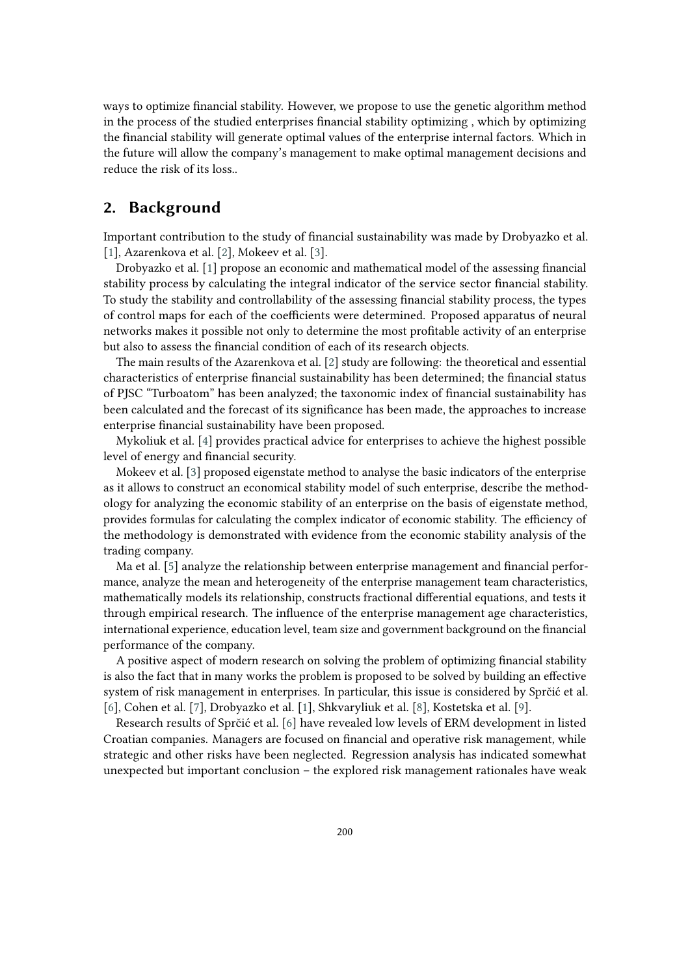ways to optimize financial stability. However, we propose to use the genetic algorithm method in the process of the studied enterprises financial stability optimizing , which by optimizing the financial stability will generate optimal values of the enterprise internal factors. Which in the future will allow the company's management to make optimal management decisions and reduce the risk of its loss..

### **2. Background**

Important contribution to the study of financial sustainability was made by Drobyazko et al. [\[1\]](#page-10-0), Azarenkova et al. [\[2\]](#page-10-1), Mokeev et al. [\[3\]](#page-10-2).

Drobyazko et al. [\[1\]](#page-10-0) propose an economic and mathematical model of the assessing financial stability process by calculating the integral indicator of the service sector financial stability. To study the stability and controllability of the assessing financial stability process, the types of control maps for each of the coefficients were determined. Proposed apparatus of neural networks makes it possible not only to determine the most profitable activity of an enterprise but also to assess the financial condition of each of its research objects.

The main results of the Azarenkova et al. [\[2\]](#page-10-1) study are following: the theoretical and essential characteristics of enterprise financial sustainability has been determined; the financial status of PJSC "Turboatom" has been analyzed; the taxonomic index of financial sustainability has been calculated and the forecast of its significance has been made, the approaches to increase enterprise financial sustainability have been proposed.

Mykoliuk et al. [\[4\]](#page-10-3) provides practical advice for enterprises to achieve the highest possible level of energy and financial security.

Mokeev et al. [\[3\]](#page-10-2) proposed eigenstate method to analyse the basic indicators of the enterprise as it allows to construct an economical stability model of such enterprise, describe the methodology for analyzing the economic stability of an enterprise on the basis of eigenstate method, provides formulas for calculating the complex indicator of economic stability. The efficiency of the methodology is demonstrated with evidence from the economic stability analysis of the trading company.

Ma et al. [\[5\]](#page-10-4) analyze the relationship between enterprise management and financial performance, analyze the mean and heterogeneity of the enterprise management team characteristics, mathematically models its relationship, constructs fractional differential equations, and tests it through empirical research. The influence of the enterprise management age characteristics, international experience, education level, team size and government background on the financial performance of the company.

A positive aspect of modern research on solving the problem of optimizing financial stability is also the fact that in many works the problem is proposed to be solved by building an effective system of risk management in enterprises. In particular, this issue is considered by Sprčić et al. [\[6\]](#page-11-0), Cohen et al. [\[7\]](#page-11-1), Drobyazko et al. [\[1\]](#page-10-0), Shkvaryliuk et al. [\[8\]](#page-11-2), Kostetska et al. [\[9\]](#page-11-3).

Research results of Sprčić et al. [\[6\]](#page-11-0) have revealed low levels of ERM development in listed Croatian companies. Managers are focused on financial and operative risk management, while strategic and other risks have been neglected. Regression analysis has indicated somewhat unexpected but important conclusion – the explored risk management rationales have weak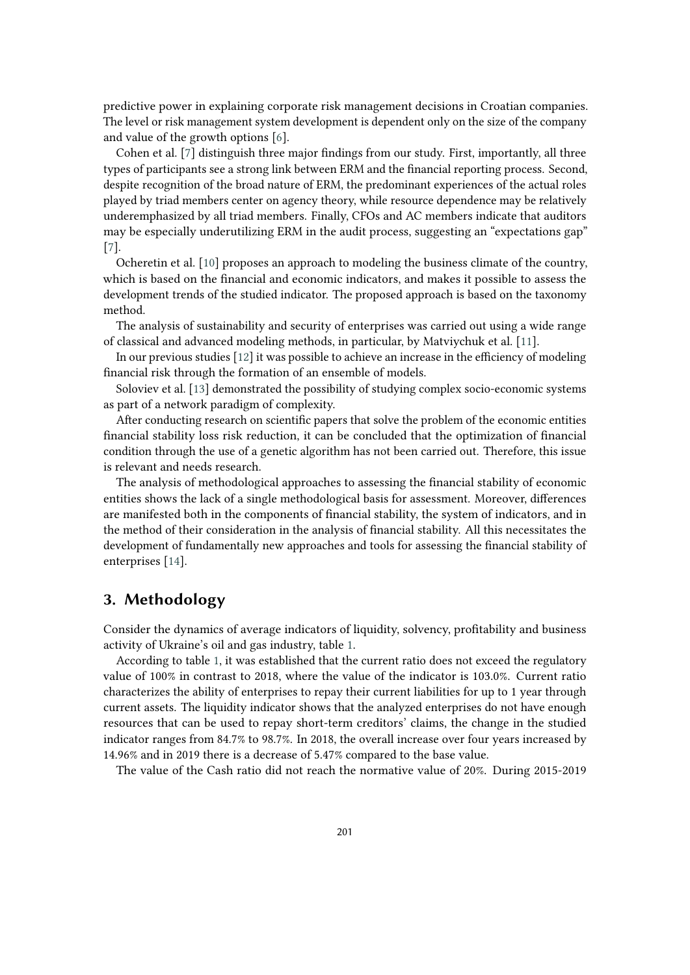predictive power in explaining corporate risk management decisions in Croatian companies. The level or risk management system development is dependent only on the size of the company and value of the growth options [\[6\]](#page-11-0).

Cohen et al. [\[7\]](#page-11-1) distinguish three major findings from our study. First, importantly, all three types of participants see a strong link between ERM and the financial reporting process. Second, despite recognition of the broad nature of ERM, the predominant experiences of the actual roles played by triad members center on agency theory, while resource dependence may be relatively underemphasized by all triad members. Finally, CFOs and AC members indicate that auditors may be especially underutilizing ERM in the audit process, suggesting an "expectations gap" [\[7\]](#page-11-1).

Ocheretin et al. [\[10\]](#page-11-4) proposes an approach to modeling the business climate of the country, which is based on the financial and economic indicators, and makes it possible to assess the development trends of the studied indicator. The proposed approach is based on the taxonomy method.

The analysis of sustainability and security of enterprises was carried out using a wide range of classical and advanced modeling methods, in particular, by Matviychuk et al. [\[11\]](#page-11-5).

In our previous studies [\[12\]](#page-11-6) it was possible to achieve an increase in the efficiency of modeling financial risk through the formation of an ensemble of models.

Soloviev et al. [\[13\]](#page-11-7) demonstrated the possibility of studying complex socio-economic systems as part of a network paradigm of complexity.

After conducting research on scientific papers that solve the problem of the economic entities financial stability loss risk reduction, it can be concluded that the optimization of financial condition through the use of a genetic algorithm has not been carried out. Therefore, this issue is relevant and needs research.

The analysis of methodological approaches to assessing the financial stability of economic entities shows the lack of a single methodological basis for assessment. Moreover, differences are manifested both in the components of financial stability, the system of indicators, and in the method of their consideration in the analysis of financial stability. All this necessitates the development of fundamentally new approaches and tools for assessing the financial stability of enterprises [\[14\]](#page-11-8).

## **3. Methodology**

Consider the dynamics of average indicators of liquidity, solvency, profitability and business activity of Ukraine's oil and gas industry, table [1.](#page-3-0)

According to table [1,](#page-3-0) it was established that the current ratio does not exceed the regulatory value of 100% in contrast to 2018, where the value of the indicator is 103.0%. Current ratio characterizes the ability of enterprises to repay their current liabilities for up to 1 year through current assets. The liquidity indicator shows that the analyzed enterprises do not have enough resources that can be used to repay short-term creditors' claims, the change in the studied indicator ranges from 84.7% to 98.7%. In 2018, the overall increase over four years increased by 14.96% and in 2019 there is a decrease of 5.47% compared to the base value.

The value of the Cash ratio did not reach the normative value of 20%. During 2015-2019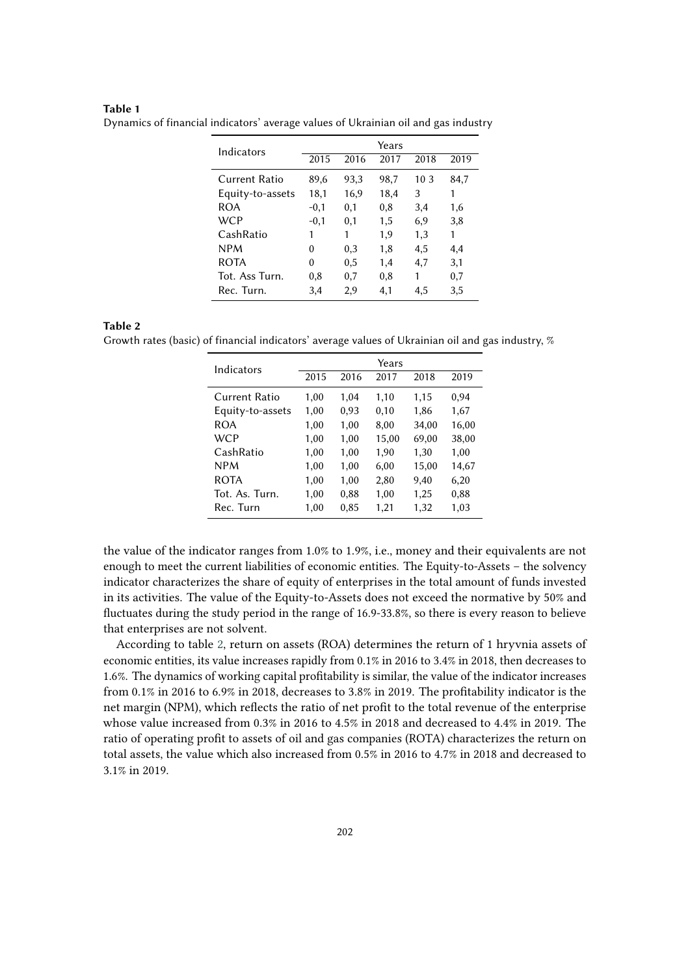#### **Table 1**

| Indicators       | Years  |      |      |      |      |  |  |
|------------------|--------|------|------|------|------|--|--|
|                  | 2015   | 2016 | 2017 | 2018 | 2019 |  |  |
| Current Ratio    | 89,6   | 93,3 | 98,7 | 10.3 | 84,7 |  |  |
| Equity-to-assets | 18,1   | 16,9 | 18,4 | 3    | 1    |  |  |
| ROA              | $-0,1$ | 0,1  | 0,8  | 3,4  | 1,6  |  |  |
| WCP              | $-0,1$ | 0,1  | 1,5  | 6,9  | 3,8  |  |  |
| CashRatio        | 1      | 1    | 1,9  | 1,3  | 1    |  |  |
| <b>NPM</b>       | 0      | 0,3  | 1,8  | 4,5  | 4,4  |  |  |
| <b>ROTA</b>      | 0      | 0,5  | 1,4  | 4,7  | 3,1  |  |  |
| Tot. Ass Turn.   | 0,8    | 0,7  | 0,8  | 1    | 0,7  |  |  |
| Rec. Turn.       | 3,4    | 2,9  | 4,1  | 4.5  | 3,5  |  |  |

<span id="page-3-0"></span>Dynamics of financial indicators' average values of Ukrainian oil and gas industry

#### **Table 2**

<span id="page-3-1"></span>Growth rates (basic) of financial indicators' average values of Ukrainian oil and gas industry, %

| Indicators       |      |      | Years |       |       |
|------------------|------|------|-------|-------|-------|
|                  | 2015 | 2016 | 2017  | 2018  | 2019  |
| Current Ratio    | 1,00 | 1,04 | 1,10  | 1,15  | 0,94  |
| Equity-to-assets | 1,00 | 0,93 | 0,10  | 1,86  | 1,67  |
| ROA              | 1.00 | 1,00 | 8,00  | 34,00 | 16,00 |
| <b>WCP</b>       | 1,00 | 1,00 | 15,00 | 69,00 | 38,00 |
| CashRatio        | 1,00 | 1,00 | 1,90  | 1,30  | 1,00  |
| <b>NPM</b>       | 1,00 | 1,00 | 6,00  | 15,00 | 14,67 |
| <b>ROTA</b>      | 1.00 | 1,00 | 2,80  | 9,40  | 6,20  |
| Tot. As. Turn.   | 1,00 | 0,88 | 1,00  | 1,25  | 0,88  |
| Rec. Turn        | 1,00 | 0,85 | 1,21  | 1,32  | 1,03  |

the value of the indicator ranges from 1.0% to 1.9%, i.e., money and their equivalents are not enough to meet the current liabilities of economic entities. The Equity-to-Assets – the solvency indicator characterizes the share of equity of enterprises in the total amount of funds invested in its activities. The value of the Equity-to-Assets does not exceed the normative by 50% and fluctuates during the study period in the range of 16.9-33.8%, so there is every reason to believe that enterprises are not solvent.

According to table [2,](#page-3-1) return on assets (ROA) determines the return of 1 hryvnia assets of economic entities, its value increases rapidly from 0.1% in 2016 to 3.4% in 2018, then decreases to 1.6%. The dynamics of working capital profitability is similar, the value of the indicator increases from 0.1% in 2016 to 6.9% in 2018, decreases to 3.8% in 2019. The profitability indicator is the net margin (NPM), which reflects the ratio of net profit to the total revenue of the enterprise whose value increased from 0.3% in 2016 to 4.5% in 2018 and decreased to 4.4% in 2019. The ratio of operating profit to assets of oil and gas companies (ROTA) characterizes the return on total assets, the value which also increased from 0.5% in 2016 to 4.7% in 2018 and decreased to 3.1% in 2019.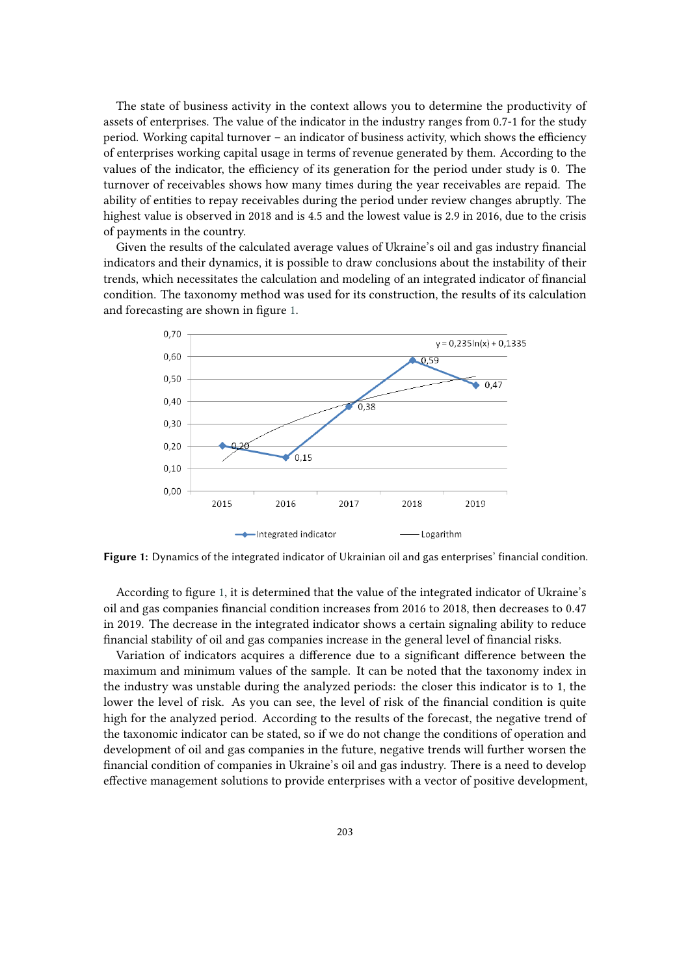The state of business activity in the context allows you to determine the productivity of assets of enterprises. The value of the indicator in the industry ranges from 0.7-1 for the study period. Working capital turnover – an indicator of business activity, which shows the efficiency of enterprises working capital usage in terms of revenue generated by them. According to the values of the indicator, the efficiency of its generation for the period under study is 0. The turnover of receivables shows how many times during the year receivables are repaid. The ability of entities to repay receivables during the period under review changes abruptly. The highest value is observed in 2018 and is 4.5 and the lowest value is 2.9 in 2016, due to the crisis of payments in the country.

Given the results of the calculated average values of Ukraine's oil and gas industry financial indicators and their dynamics, it is possible to draw conclusions about the instability of their trends, which necessitates the calculation and modeling of an integrated indicator of financial condition. The taxonomy method was used for its construction, the results of its calculation and forecasting are shown in figure [1.](#page-4-0)



<span id="page-4-0"></span>**Figure 1:** Dynamics of the integrated indicator of Ukrainian oil and gas enterprises' financial condition.

According to figure [1,](#page-4-0) it is determined that the value of the integrated indicator of Ukraine's oil and gas companies financial condition increases from 2016 to 2018, then decreases to 0.47 in 2019. The decrease in the integrated indicator shows a certain signaling ability to reduce financial stability of oil and gas companies increase in the general level of financial risks.

Variation of indicators acquires a difference due to a significant difference between the maximum and minimum values of the sample. It can be noted that the taxonomy index in the industry was unstable during the analyzed periods: the closer this indicator is to 1, the lower the level of risk. As you can see, the level of risk of the financial condition is quite high for the analyzed period. According to the results of the forecast, the negative trend of the taxonomic indicator can be stated, so if we do not change the conditions of operation and development of oil and gas companies in the future, negative trends will further worsen the financial condition of companies in Ukraine's oil and gas industry. There is a need to develop effective management solutions to provide enterprises with a vector of positive development,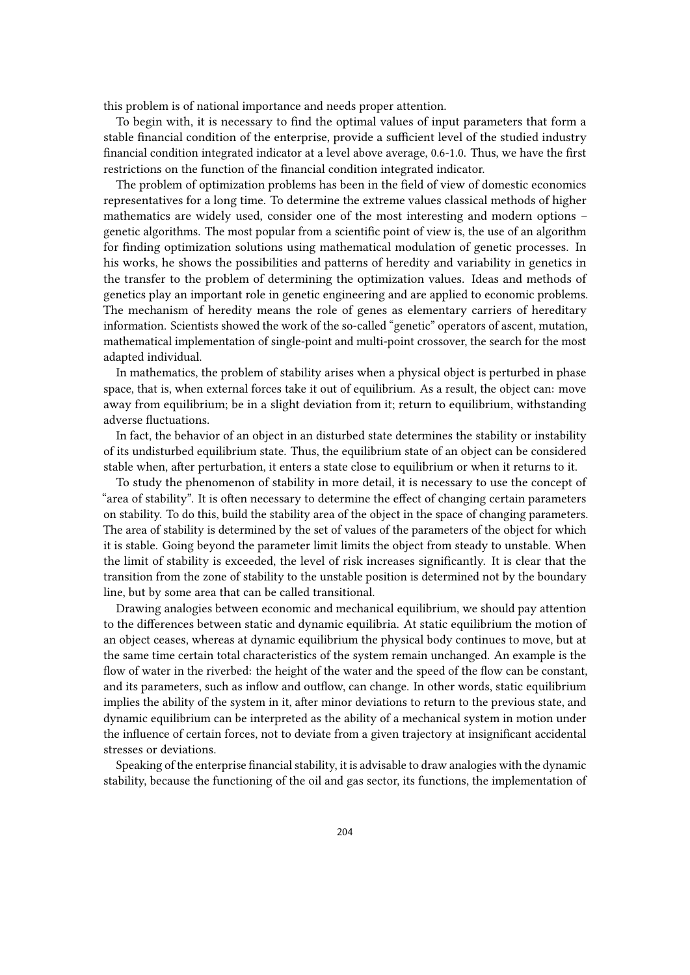this problem is of national importance and needs proper attention.

To begin with, it is necessary to find the optimal values of input parameters that form a stable financial condition of the enterprise, provide a sufficient level of the studied industry financial condition integrated indicator at a level above average, 0.6-1.0. Thus, we have the first restrictions on the function of the financial condition integrated indicator.

The problem of optimization problems has been in the field of view of domestic economics representatives for a long time. To determine the extreme values classical methods of higher mathematics are widely used, consider one of the most interesting and modern options – genetic algorithms. The most popular from a scientific point of view is, the use of an algorithm for finding optimization solutions using mathematical modulation of genetic processes. In his works, he shows the possibilities and patterns of heredity and variability in genetics in the transfer to the problem of determining the optimization values. Ideas and methods of genetics play an important role in genetic engineering and are applied to economic problems. The mechanism of heredity means the role of genes as elementary carriers of hereditary information. Scientists showed the work of the so-called "genetic" operators of ascent, mutation, mathematical implementation of single-point and multi-point crossover, the search for the most adapted individual.

In mathematics, the problem of stability arises when a physical object is perturbed in phase space, that is, when external forces take it out of equilibrium. As a result, the object can: move away from equilibrium; be in a slight deviation from it; return to equilibrium, withstanding adverse fluctuations.

In fact, the behavior of an object in an disturbed state determines the stability or instability of its undisturbed equilibrium state. Thus, the equilibrium state of an object can be considered stable when, after perturbation, it enters a state close to equilibrium or when it returns to it.

To study the phenomenon of stability in more detail, it is necessary to use the concept of "area of stability". It is often necessary to determine the effect of changing certain parameters on stability. To do this, build the stability area of the object in the space of changing parameters. The area of stability is determined by the set of values of the parameters of the object for which it is stable. Going beyond the parameter limit limits the object from steady to unstable. When the limit of stability is exceeded, the level of risk increases significantly. It is clear that the transition from the zone of stability to the unstable position is determined not by the boundary line, but by some area that can be called transitional.

Drawing analogies between economic and mechanical equilibrium, we should pay attention to the differences between static and dynamic equilibria. At static equilibrium the motion of an object ceases, whereas at dynamic equilibrium the physical body continues to move, but at the same time certain total characteristics of the system remain unchanged. An example is the flow of water in the riverbed: the height of the water and the speed of the flow can be constant, and its parameters, such as inflow and outflow, can change. In other words, static equilibrium implies the ability of the system in it, after minor deviations to return to the previous state, and dynamic equilibrium can be interpreted as the ability of a mechanical system in motion under the influence of certain forces, not to deviate from a given trajectory at insignificant accidental stresses or deviations.

Speaking of the enterprise financial stability, it is advisable to draw analogies with the dynamic stability, because the functioning of the oil and gas sector, its functions, the implementation of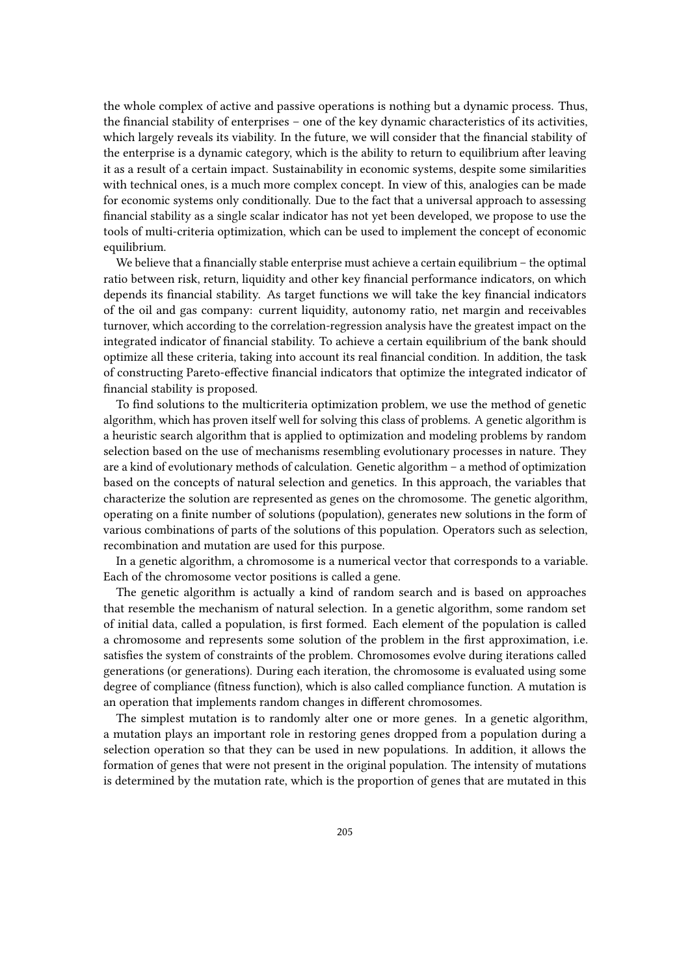the whole complex of active and passive operations is nothing but a dynamic process. Thus, the financial stability of enterprises – one of the key dynamic characteristics of its activities, which largely reveals its viability. In the future, we will consider that the financial stability of the enterprise is a dynamic category, which is the ability to return to equilibrium after leaving it as a result of a certain impact. Sustainability in economic systems, despite some similarities with technical ones, is a much more complex concept. In view of this, analogies can be made for economic systems only conditionally. Due to the fact that a universal approach to assessing financial stability as a single scalar indicator has not yet been developed, we propose to use the tools of multi-criteria optimization, which can be used to implement the concept of economic equilibrium.

We believe that a financially stable enterprise must achieve a certain equilibrium – the optimal ratio between risk, return, liquidity and other key financial performance indicators, on which depends its financial stability. As target functions we will take the key financial indicators of the oil and gas company: current liquidity, autonomy ratio, net margin and receivables turnover, which according to the correlation-regression analysis have the greatest impact on the integrated indicator of financial stability. To achieve a certain equilibrium of the bank should optimize all these criteria, taking into account its real financial condition. In addition, the task of constructing Pareto-effective financial indicators that optimize the integrated indicator of financial stability is proposed.

To find solutions to the multicriteria optimization problem, we use the method of genetic algorithm, which has proven itself well for solving this class of problems. A genetic algorithm is a heuristic search algorithm that is applied to optimization and modeling problems by random selection based on the use of mechanisms resembling evolutionary processes in nature. They are a kind of evolutionary methods of calculation. Genetic algorithm – a method of optimization based on the concepts of natural selection and genetics. In this approach, the variables that characterize the solution are represented as genes on the chromosome. The genetic algorithm, operating on a finite number of solutions (population), generates new solutions in the form of various combinations of parts of the solutions of this population. Operators such as selection, recombination and mutation are used for this purpose.

In a genetic algorithm, a chromosome is a numerical vector that corresponds to a variable. Each of the chromosome vector positions is called a gene.

The genetic algorithm is actually a kind of random search and is based on approaches that resemble the mechanism of natural selection. In a genetic algorithm, some random set of initial data, called a population, is first formed. Each element of the population is called a chromosome and represents some solution of the problem in the first approximation, i.e. satisfies the system of constraints of the problem. Chromosomes evolve during iterations called generations (or generations). During each iteration, the chromosome is evaluated using some degree of compliance (fitness function), which is also called compliance function. A mutation is an operation that implements random changes in different chromosomes.

The simplest mutation is to randomly alter one or more genes. In a genetic algorithm, a mutation plays an important role in restoring genes dropped from a population during a selection operation so that they can be used in new populations. In addition, it allows the formation of genes that were not present in the original population. The intensity of mutations is determined by the mutation rate, which is the proportion of genes that are mutated in this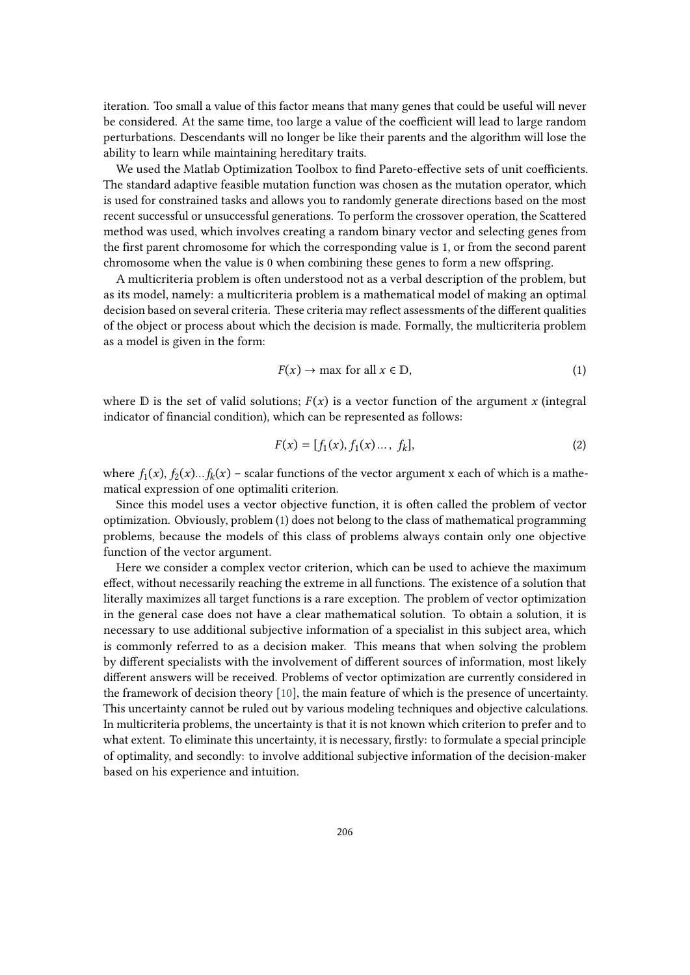iteration. Too small a value of this factor means that many genes that could be useful will never be considered. At the same time, too large a value of the coefficient will lead to large random perturbations. Descendants will no longer be like their parents and the algorithm will lose the ability to learn while maintaining hereditary traits.

We used the Matlab Optimization Toolbox to find Pareto-effective sets of unit coefficients. The standard adaptive feasible mutation function was chosen as the mutation operator, which is used for constrained tasks and allows you to randomly generate directions based on the most recent successful or unsuccessful generations. To perform the crossover operation, the Scattered method was used, which involves creating a random binary vector and selecting genes from the first parent chromosome for which the corresponding value is 1, or from the second parent chromosome when the value is 0 when combining these genes to form a new offspring.

A multicriteria problem is often understood not as a verbal description of the problem, but as its model, namely: a multicriteria problem is a mathematical model of making an optimal decision based on several criteria. These criteria may reflect assessments of the different qualities of the object or process about which the decision is made. Formally, the multicriteria problem as a model is given in the form:

<span id="page-7-0"></span>
$$
F(x) \to \max \text{ for all } x \in \mathbb{D},\tag{1}
$$

where  $\mathbb D$  is the set of valid solutions;  $F(x)$  is a vector function of the argument x (integral indicator of financial condition), which can be represented as follows:

$$
F(x) = [f_1(x), f_1(x) \dots, f_k],
$$
\n(2)

where  $f_1(x)$ ,  $f_2(x)$ ... $f_k(x)$  – scalar functions of the vector argument x each of which is a mathematical expression of one optimaliti criterion.

Since this model uses a vector objective function, it is often called the problem of vector optimization. Obviously, problem [\(1\)](#page-7-0) does not belong to the class of mathematical programming problems, because the models of this class of problems always contain only one objective function of the vector argument.

Here we consider a complex vector criterion, which can be used to achieve the maximum effect, without necessarily reaching the extreme in all functions. The existence of a solution that literally maximizes all target functions is a rare exception. The problem of vector optimization in the general case does not have a clear mathematical solution. To obtain a solution, it is necessary to use additional subjective information of a specialist in this subject area, which is commonly referred to as a decision maker. This means that when solving the problem by different specialists with the involvement of different sources of information, most likely different answers will be received. Problems of vector optimization are currently considered in the framework of decision theory [\[10\]](#page-11-4), the main feature of which is the presence of uncertainty. This uncertainty cannot be ruled out by various modeling techniques and objective calculations. In multicriteria problems, the uncertainty is that it is not known which criterion to prefer and to what extent. To eliminate this uncertainty, it is necessary, firstly: to formulate a special principle of optimality, and secondly: to involve additional subjective information of the decision-maker based on his experience and intuition.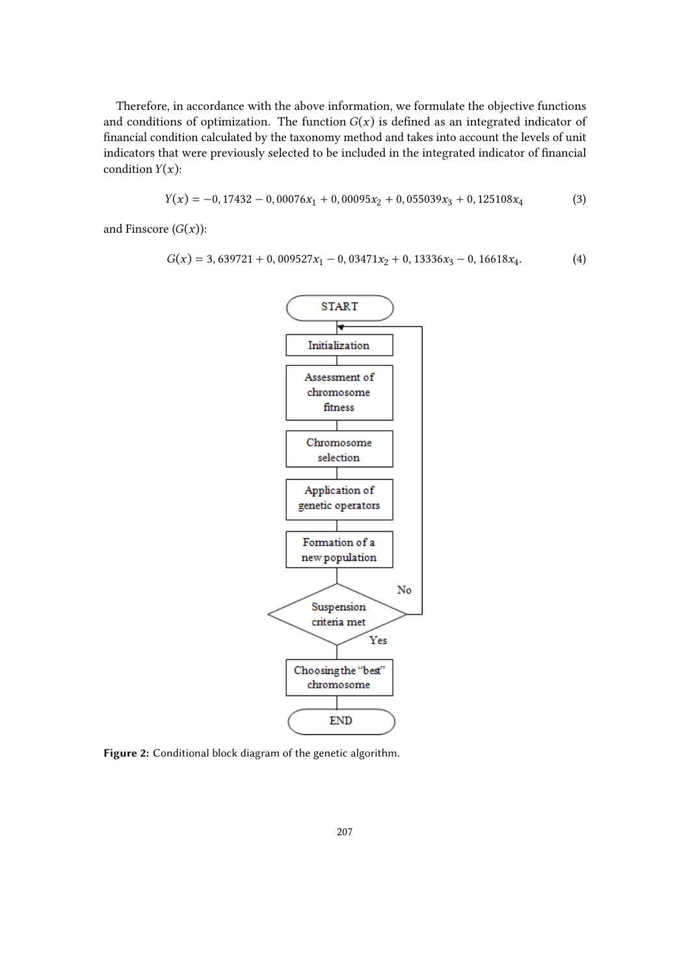Therefore, in accordance with the above information, we formulate the objective functions and conditions of optimization. The function  $G(x)$  is defined as an integrated indicator of financial condition calculated by the taxonomy method and takes into account the levels of unit indicators that were previously selected to be included in the integrated indicator of financial condition  $Y(x)$ :

$$
Y(x) = -0,17432 - 0,00076x_1 + 0,00095x_2 + 0,055039x_3 + 0,125108x_4
$$
 (3)

and Finscore  $(G(x))$ :

$$
G(x) = 3,639721 + 0,009527x_1 - 0,03471x_2 + 0,13336x_3 - 0,16618x_4.
$$
 (4)



<span id="page-8-0"></span>**Figure 2:** Conditional block diagram of the genetic algorithm.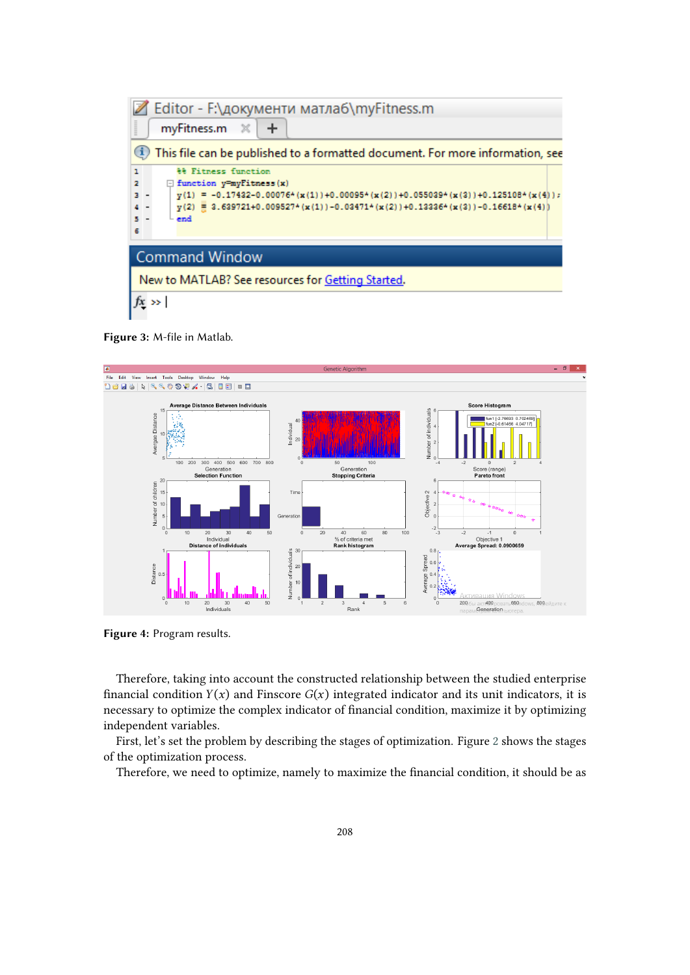

<span id="page-9-0"></span>**Figure 3:** M-file in Matlab.



<span id="page-9-1"></span>**Figure 4:** Program results.

Therefore, taking into account the constructed relationship between the studied enterprise financial condition  $Y(x)$  and Finscore  $G(x)$  integrated indicator and its unit indicators, it is necessary to optimize the complex indicator of financial condition, maximize it by optimizing independent variables.

First, let's set the problem by describing the stages of optimization. Figure [2](#page-8-0) shows the stages of the optimization process.

Therefore, we need to optimize, namely to maximize the financial condition, it should be as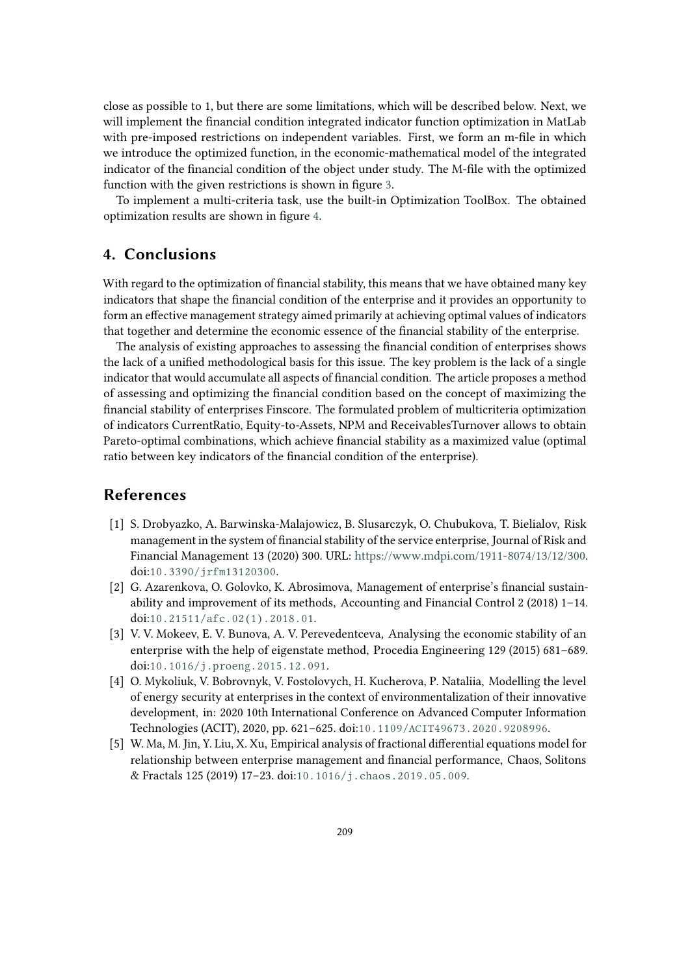close as possible to 1, but there are some limitations, which will be described below. Next, we will implement the financial condition integrated indicator function optimization in MatLab with pre-imposed restrictions on independent variables. First, we form an m-file in which we introduce the optimized function, in the economic-mathematical model of the integrated indicator of the financial condition of the object under study. The M-file with the optimized function with the given restrictions is shown in figure [3.](#page-9-0)

To implement a multi-criteria task, use the built-in Optimization ToolBox. The obtained optimization results are shown in figure [4.](#page-9-1)

# **4. Conclusions**

With regard to the optimization of financial stability, this means that we have obtained many key indicators that shape the financial condition of the enterprise and it provides an opportunity to form an effective management strategy aimed primarily at achieving optimal values of indicators that together and determine the economic essence of the financial stability of the enterprise.

The analysis of existing approaches to assessing the financial condition of enterprises shows the lack of a unified methodological basis for this issue. The key problem is the lack of a single indicator that would accumulate all aspects of financial condition. The article proposes a method of assessing and optimizing the financial condition based on the concept of maximizing the financial stability of enterprises Finscore. The formulated problem of multicriteria optimization of indicators CurrentRatio, Equity-to-Assets, NPM and ReceivablesTurnover allows to obtain Pareto-optimal combinations, which achieve financial stability as a maximized value (optimal ratio between key indicators of the financial condition of the enterprise).

#### **References**

- <span id="page-10-0"></span>[1] S. Drobyazko, A. Barwinska-Malajowicz, B. Slusarczyk, O. Chubukova, T. Bielialov, Risk management in the system of financial stability of the service enterprise, Journal of Risk and Financial Management 13 (2020) 300. URL: [https://www.mdpi.com/1911-8074/13/12/300.](https://www.mdpi.com/1911-8074/13/12/300) doi:[10.3390/jrfm13120300](http://dx.doi.org/10.3390/jrfm13120300).
- <span id="page-10-1"></span>[2] G. Azarenkova, O. Golovko, K. Abrosimova, Management of enterprise's financial sustainability and improvement of its methods, Accounting and Financial Control 2 (2018) 1–14. doi:[10.21511/afc.02\(1\).2018.01](http://dx.doi.org/10.21511/afc.02(1).2018.01).
- <span id="page-10-2"></span>[3] V. V. Mokeev, E. V. Bunova, A. V. Perevedentceva, Analysing the economic stability of an enterprise with the help of eigenstate method, Procedia Engineering 129 (2015) 681–689. doi:[10.1016/j.proeng.2015.12.091](http://dx.doi.org/10.1016/j.proeng.2015.12.091).
- <span id="page-10-3"></span>[4] O. Mykoliuk, V. Bobrovnyk, V. Fostolovych, H. Kucherova, P. Nataliia, Modelling the level of energy security at enterprises in the context of environmentalization of their innovative development, in: 2020 10th International Conference on Advanced Computer Information Technologies (ACIT), 2020, pp. 621–625. doi:[10.1109/ACIT49673.2020.9208996](http://dx.doi.org/10.1109/ACIT49673.2020.9208996).
- <span id="page-10-4"></span>[5] W. Ma, M. Jin, Y. Liu, X. Xu, Empirical analysis of fractional differential equations model for relationship between enterprise management and financial performance, Chaos, Solitons & Fractals 125 (2019) 17–23. doi:[10.1016/j.chaos.2019.05.009](http://dx.doi.org/10.1016/j.chaos.2019.05.009).